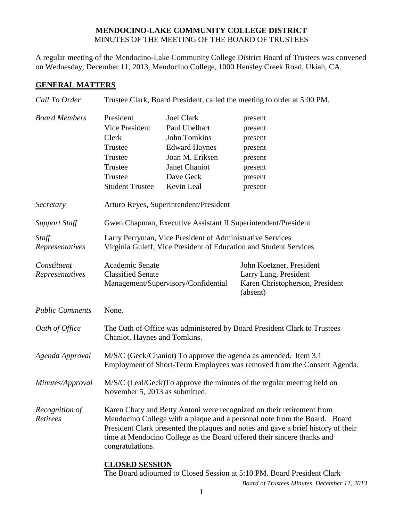# **MENDOCINO-LAKE COMMUNITY COLLEGE DISTRICT** MINUTES OF THE MEETING OF THE BOARD OF TRUSTEES

A regular meeting of the Mendocino-Lake Community College District Board of Trustees was convened on Wednesday, December 11, 2013, Mendocino College, 1000 Hensley Creek Road, Ukiah, CA.

# **GENERAL MATTERS**

| Call To Order                     | Trustee Clark, Board President, called the meeting to order at 5:00 PM.                                                                    |                                                                                                                                                                                                                                                                                                                    |                                                                                                  |  |
|-----------------------------------|--------------------------------------------------------------------------------------------------------------------------------------------|--------------------------------------------------------------------------------------------------------------------------------------------------------------------------------------------------------------------------------------------------------------------------------------------------------------------|--------------------------------------------------------------------------------------------------|--|
| <b>Board Members</b>              | President<br>Vice President<br>Clerk                                                                                                       | <b>Joel Clark</b><br>Paul Ubelhart<br><b>John Tomkins</b>                                                                                                                                                                                                                                                          | present<br>present<br>present                                                                    |  |
|                                   | Trustee                                                                                                                                    | <b>Edward Haynes</b>                                                                                                                                                                                                                                                                                               | present                                                                                          |  |
|                                   | Trustee                                                                                                                                    | Joan M. Eriksen                                                                                                                                                                                                                                                                                                    | present                                                                                          |  |
|                                   | Trustee                                                                                                                                    | Janet Chaniot                                                                                                                                                                                                                                                                                                      | present                                                                                          |  |
|                                   | Trustee                                                                                                                                    | Dave Geck                                                                                                                                                                                                                                                                                                          | present                                                                                          |  |
|                                   | <b>Student Trustee</b>                                                                                                                     | Kevin Leal                                                                                                                                                                                                                                                                                                         | present                                                                                          |  |
| Secretary                         | Arturo Reyes, Superintendent/President                                                                                                     |                                                                                                                                                                                                                                                                                                                    |                                                                                                  |  |
| <b>Support Staff</b>              | Gwen Chapman, Executive Assistant II Superintendent/President                                                                              |                                                                                                                                                                                                                                                                                                                    |                                                                                                  |  |
| Staff<br>Representatives          | Larry Perryman, Vice President of Administrative Services<br>Virginia Guleff, Vice President of Education and Student Services             |                                                                                                                                                                                                                                                                                                                    |                                                                                                  |  |
| Constituent<br>Representatives    | Academic Senate<br><b>Classified Senate</b>                                                                                                | Management/Supervisory/Confidential                                                                                                                                                                                                                                                                                | John Koetzner, President<br>Larry Lang, President<br>Karen Christopherson, President<br>(absent) |  |
| <b>Public Comments</b>            | None.                                                                                                                                      |                                                                                                                                                                                                                                                                                                                    |                                                                                                  |  |
| Oath of Office                    | The Oath of Office was administered by Board President Clark to Trustees<br>Chaniot, Haynes and Tomkins.                                   |                                                                                                                                                                                                                                                                                                                    |                                                                                                  |  |
| Agenda Approval                   | M/S/C (Geck/Chaniot) To approve the agenda as amended. Item 3.1<br>Employment of Short-Term Employees was removed from the Consent Agenda. |                                                                                                                                                                                                                                                                                                                    |                                                                                                  |  |
| Minutes/Approval                  | M/S/C (Leal/Geck)To approve the minutes of the regular meeting held on<br>November 5, 2013 as submitted.                                   |                                                                                                                                                                                                                                                                                                                    |                                                                                                  |  |
| Recognition of<br><b>Retirees</b> | congratulations.                                                                                                                           | Karen Chaty and Betty Antoni were recognized on their retirement from<br>Mendocino College with a plaque and a personal note from the Board. Board<br>President Clark presented the plaques and notes and gave a brief history of their<br>time at Mendocino College as the Board offered their sincere thanks and |                                                                                                  |  |
|                                   | <b>CLOSED SESSION</b>                                                                                                                      |                                                                                                                                                                                                                                                                                                                    | The Board adjourned to Closed Session at 5:10 PM. Board President Clark                          |  |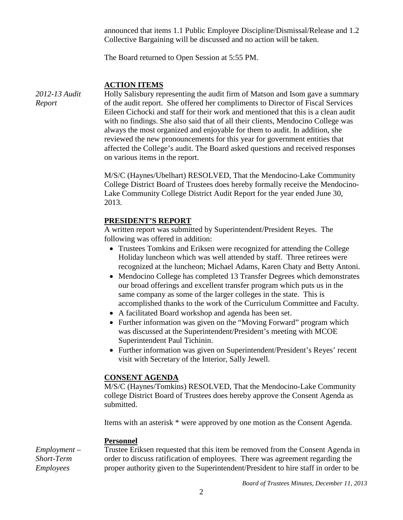announced that items 1.1 Public Employee Discipline/Dismissal/Release and 1.2 Collective Bargaining will be discussed and no action will be taken.

The Board returned to Open Session at 5:55 PM.

# **ACTION ITEMS**

*2012-13 Audit Report*

Holly Salisbury representing the audit firm of Matson and Isom gave a summary of the audit report. She offered her compliments to Director of Fiscal Services Eileen Cichocki and staff for their work and mentioned that this is a clean audit with no findings. She also said that of all their clients, Mendocino College was always the most organized and enjoyable for them to audit. In addition, she reviewed the new pronouncements for this year for government entities that affected the College's audit. The Board asked questions and received responses on various items in the report.

M/S/C (Haynes/Ubelhart) RESOLVED, That the Mendocino-Lake Community College District Board of Trustees does hereby formally receive the Mendocino-Lake Community College District Audit Report for the year ended June 30, 2013.

#### **PRESIDENT'S REPORT**

A written report was submitted by Superintendent/President Reyes. The following was offered in addition:

- Trustees Tomkins and Eriksen were recognized for attending the College Holiday luncheon which was well attended by staff. Three retirees were recognized at the luncheon; Michael Adams, Karen Chaty and Betty Antoni.
- Mendocino College has completed 13 Transfer Degrees which demonstrates our broad offerings and excellent transfer program which puts us in the same company as some of the larger colleges in the state. This is accomplished thanks to the work of the Curriculum Committee and Faculty.
- A facilitated Board workshop and agenda has been set.
- Further information was given on the "Moving Forward" program which was discussed at the Superintendent/President's meeting with MCOE Superintendent Paul Tichinin.
- Further information was given on Superintendent/President's Reyes' recent visit with Secretary of the Interior, Sally Jewell.

#### **CONSENT AGENDA**

M/S/C (Haynes/Tomkins) RESOLVED, That the Mendocino-Lake Community college District Board of Trustees does hereby approve the Consent Agenda as submitted.

Items with an asterisk \* were approved by one motion as the Consent Agenda.

#### **Personnel**

*Employment – Short-Term Employees* Trustee Eriksen requested that this item be removed from the Consent Agenda in order to discuss ratification of employees. There was agreement regarding the proper authority given to the Superintendent/President to hire staff in order to be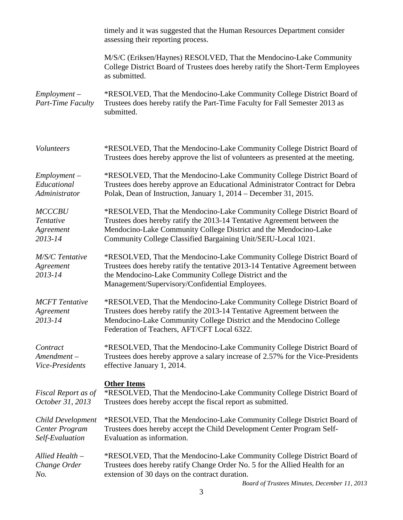|                                                        | timely and it was suggested that the Human Resources Department consider<br>assessing their reporting process.                                                                                                                                                                         |
|--------------------------------------------------------|----------------------------------------------------------------------------------------------------------------------------------------------------------------------------------------------------------------------------------------------------------------------------------------|
|                                                        | M/S/C (Eriksen/Haynes) RESOLVED, That the Mendocino-Lake Community<br>College District Board of Trustees does hereby ratify the Short-Term Employees<br>as submitted.                                                                                                                  |
| $Employment -$<br>Part-Time Faculty                    | *RESOLVED, That the Mendocino-Lake Community College District Board of<br>Trustees does hereby ratify the Part-Time Faculty for Fall Semester 2013 as<br>submitted.                                                                                                                    |
| Volunteers                                             | *RESOLVED, That the Mendocino-Lake Community College District Board of<br>Trustees does hereby approve the list of volunteers as presented at the meeting.                                                                                                                             |
| $Employment -$<br>Educational<br>Administrator         | *RESOLVED, That the Mendocino-Lake Community College District Board of<br>Trustees does hereby approve an Educational Administrator Contract for Debra<br>Polak, Dean of Instruction, January 1, 2014 – December 31, 2015.                                                             |
| <b>MCCCBU</b><br>Tentative<br>Agreement<br>2013-14     | *RESOLVED, That the Mendocino-Lake Community College District Board of<br>Trustees does hereby ratify the 2013-14 Tentative Agreement between the<br>Mendocino-Lake Community College District and the Mendocino-Lake<br>Community College Classified Bargaining Unit/SEIU-Local 1021. |
| M/S/C Tentative<br>Agreement<br>2013-14                | *RESOLVED, That the Mendocino-Lake Community College District Board of<br>Trustees does hereby ratify the tentative 2013-14 Tentative Agreement between<br>the Mendocino-Lake Community College District and the<br>Management/Supervisory/Confidential Employees.                     |
| <b>MCFT</b> Tentative<br>Agreement<br>2013-14          | *RESOLVED, That the Mendocino-Lake Community College District Board of<br>Trustees does hereby ratify the 2013-14 Tentative Agreement between the<br>Mendocino-Lake Community College District and the Mendocino College<br>Federation of Teachers, AFT/CFT Local 6322.                |
| Contract<br>$A$ mendment $-$<br>Vice-Presidents        | *RESOLVED, That the Mendocino-Lake Community College District Board of<br>Trustees does hereby approve a salary increase of 2.57% for the Vice-Presidents<br>effective January 1, 2014.                                                                                                |
| Fiscal Report as of<br>October 31, 2013                | <b>Other Items</b><br>*RESOLVED, That the Mendocino-Lake Community College District Board of<br>Trustees does hereby accept the fiscal report as submitted.                                                                                                                            |
| Child Development<br>Center Program<br>Self-Evaluation | *RESOLVED, That the Mendocino-Lake Community College District Board of<br>Trustees does hereby accept the Child Development Center Program Self-<br>Evaluation as information.                                                                                                         |
| Allied Health -<br>Change Order<br>No.                 | *RESOLVED, That the Mendocino-Lake Community College District Board of<br>Trustees does hereby ratify Change Order No. 5 for the Allied Health for an<br>extension of 30 days on the contract duration.                                                                                |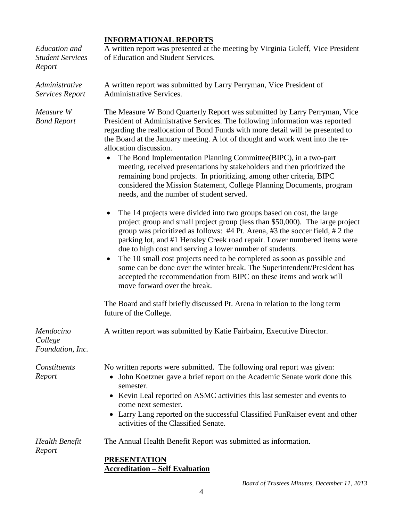# **INFORMATIONAL REPORTS**

| Education and<br><b>Student Services</b><br>Report | A written report was presented at the meeting by Virginia Guleff, Vice President<br>of Education and Student Services.                                                                                                                                                                                                                                                                                                                                                                                                                                                                                                                                                                                          |  |  |
|----------------------------------------------------|-----------------------------------------------------------------------------------------------------------------------------------------------------------------------------------------------------------------------------------------------------------------------------------------------------------------------------------------------------------------------------------------------------------------------------------------------------------------------------------------------------------------------------------------------------------------------------------------------------------------------------------------------------------------------------------------------------------------|--|--|
| Administrative<br>Services Report                  | A written report was submitted by Larry Perryman, Vice President of<br><b>Administrative Services.</b>                                                                                                                                                                                                                                                                                                                                                                                                                                                                                                                                                                                                          |  |  |
| Measure W<br><b>Bond Report</b>                    | The Measure W Bond Quarterly Report was submitted by Larry Perryman, Vice<br>President of Administrative Services. The following information was reported<br>regarding the reallocation of Bond Funds with more detail will be presented to<br>the Board at the January meeting. A lot of thought and work went into the re-<br>allocation discussion.<br>The Bond Implementation Planning Committee(BIPC), in a two-part<br>$\bullet$<br>meeting, received presentations by stakeholders and then prioritized the<br>remaining bond projects. In prioritizing, among other criteria, BIPC<br>considered the Mission Statement, College Planning Documents, program<br>needs, and the number of student served. |  |  |
|                                                    | The 14 projects were divided into two groups based on cost, the large<br>project group and small project group (less than \$50,000). The large project<br>group was prioritized as follows: $#4$ Pt. Arena, $#3$ the soccer field, $#2$ the<br>parking lot, and #1 Hensley Creek road repair. Lower numbered items were<br>due to high cost and serving a lower number of students.<br>The 10 small cost projects need to be completed as soon as possible and<br>$\bullet$<br>some can be done over the winter break. The Superintendent/President has<br>accepted the recommendation from BIPC on these items and work will<br>move forward over the break.                                                   |  |  |
|                                                    | The Board and staff briefly discussed Pt. Arena in relation to the long term<br>future of the College.                                                                                                                                                                                                                                                                                                                                                                                                                                                                                                                                                                                                          |  |  |
| Mendocino<br>College<br>Foundation, Inc.           | A written report was submitted by Katie Fairbairn, Executive Director.                                                                                                                                                                                                                                                                                                                                                                                                                                                                                                                                                                                                                                          |  |  |
| Constituents<br>Report                             | No written reports were submitted. The following oral report was given:<br>John Koetzner gave a brief report on the Academic Senate work done this<br>$\bullet$<br>semester.<br>• Kevin Leal reported on ASMC activities this last semester and events to<br>come next semester.<br>• Larry Lang reported on the successful Classified FunRaiser event and other<br>activities of the Classified Senate.                                                                                                                                                                                                                                                                                                        |  |  |
| Health Benefit<br>Report                           | The Annual Health Benefit Report was submitted as information.<br><b>PRESENTATION</b><br><b>Accreditation - Self Evaluation</b>                                                                                                                                                                                                                                                                                                                                                                                                                                                                                                                                                                                 |  |  |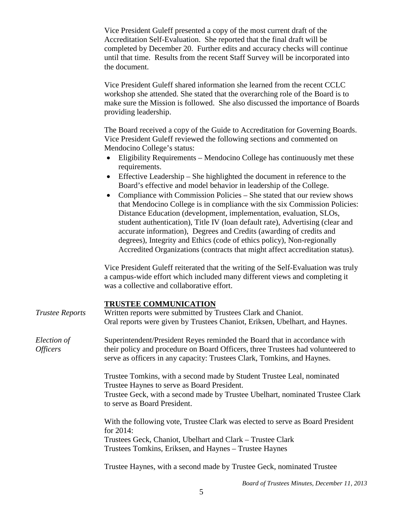Vice President Guleff presented a copy of the most current draft of the Accreditation Self-Evaluation. She reported that the final draft will be completed by December 20. Further edits and accuracy checks will continue until that time. Results from the recent Staff Survey will be incorporated into the document.

Vice President Guleff shared information she learned from the recent CCLC workshop she attended. She stated that the overarching role of the Board is to make sure the Mission is followed. She also discussed the importance of Boards providing leadership.

The Board received a copy of the Guide to Accreditation for Governing Boards. Vice President Guleff reviewed the following sections and commented on Mendocino College's status:

- Eligibility Requirements Mendocino College has continuously met these requirements.
- Effective Leadership She highlighted the document in reference to the Board's effective and model behavior in leadership of the College.
- Compliance with Commission Policies She stated that our review shows that Mendocino College is in compliance with the six Commission Policies: Distance Education (development, implementation, evaluation, SLOs, student authentication), Title IV (loan default rate), Advertising (clear and accurate information), Degrees and Credits (awarding of credits and degrees), Integrity and Ethics (code of ethics policy), Non-regionally Accredited Organizations (contracts that might affect accreditation status).

Vice President Guleff reiterated that the writing of the Self-Evaluation was truly a campus-wide effort which included many different views and completing it was a collective and collaborative effort.

## **TRUSTEE COMMUNICATION**

| <b>Trustee Reports</b>                | <u> 2011 - 2011 - 2012 - 2013</u><br>Written reports were submitted by Trustees Clark and Chaniot.<br>Oral reports were given by Trustees Chaniot, Eriksen, Ubelhart, and Haynes.                                                       |
|---------------------------------------|-----------------------------------------------------------------------------------------------------------------------------------------------------------------------------------------------------------------------------------------|
| Election of<br><i><b>Officers</b></i> | Superintendent/President Reyes reminded the Board that in accordance with<br>their policy and procedure on Board Officers, three Trustees had volunteered to<br>serve as officers in any capacity: Trustees Clark, Tomkins, and Haynes. |
|                                       | Trustee Tomkins, with a second made by Student Trustee Leal, nominated<br>Trustee Haynes to serve as Board President.<br>Trustee Geck, with a second made by Trustee Ubelhart, nominated Trustee Clark<br>to serve as Board President.  |
|                                       | With the following vote, Trustee Clark was elected to serve as Board President<br>for $2014$ :<br>Trustees Geck, Chaniot, Ubelhart and Clark – Trustee Clark<br>Trustees Tomkins, Eriksen, and Haynes – Trustee Haynes                  |
|                                       | Trustee Haynes, with a second made by Trustee Geck, nominated Trustee                                                                                                                                                                   |